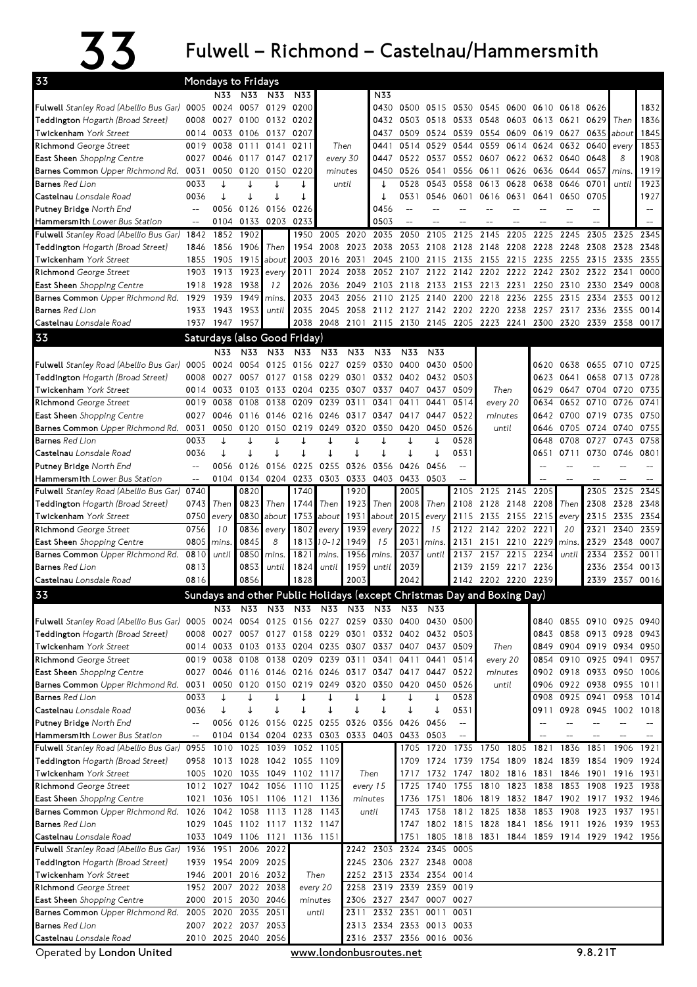## $33$  Fulwell – Richmond – Castelnau/Hammersmith

| <b>Mondays to Fridays</b>                                                                     |                                    |                |                     |              |                               |              |              |                                                                                                        |                          |                     |                                  |                                                                         |              |                          |                          |                |              |              |
|-----------------------------------------------------------------------------------------------|------------------------------------|----------------|---------------------|--------------|-------------------------------|--------------|--------------|--------------------------------------------------------------------------------------------------------|--------------------------|---------------------|----------------------------------|-------------------------------------------------------------------------|--------------|--------------------------|--------------------------|----------------|--------------|--------------|
| 33                                                                                            |                                    | N33            | N33                 | N33          | N33                           |              |              | N33                                                                                                    |                          |                     |                                  |                                                                         |              |                          |                          |                |              |              |
| Fulwell Stanley Road (Abellio Bus Gar) 0005                                                   |                                    | 0024           |                     | 0057 0129    | 0200                          |              |              | 0430                                                                                                   |                          | 0500 0515           |                                  | 0530 0545 0600                                                          |              | 0610 0618 0626           |                          |                |              | 1832         |
| Teddington Hogarth (Broad Street)                                                             | 0008                               | 0027           | 0100                | 0132         | 0202                          |              |              | 0432                                                                                                   |                          | 0503 0518           | 0533                             | 0548                                                                    | 0603         | 0613                     | 0621                     | 0629           | Then         | 1836         |
| <b>Twickenham</b> York Street                                                                 | 0014                               | 0033           |                     | 0106 0137    | 0207                          |              |              | 0437                                                                                                   | 0509                     | 0524                | 0539                             | 0554                                                                    | 0609         | 0619                     | 0627                     | 0635           | about        | 1845         |
| Richmond George Street                                                                        | 0019                               | 0038           | 0111                | 0141         | 0211                          |              | Then         | 0441                                                                                                   | 0514                     | 0529                | 0544                             | 0559                                                                    | 0614         | 0624                     | 0632                     | 0640           | every        | 1853         |
| East Sheen Shopping Centre                                                                    | 0027                               | 0046           | 0117 0147           |              | 0217                          | every 30     |              | 0447                                                                                                   | 0522                     | 0537                |                                  | 0552 0607                                                               | 0622         | 0632                     | 0640                     | 0648           | 8            | 1908         |
| Barnes Common Upper Richmond Rd.                                                              | 0031                               | 0050           | 0120                | 0150         | 0220                          | minutes      |              | 0450                                                                                                   | 0526                     | 0541                | 0556                             | 0611                                                                    | 0626         | 0636                     | 0644                     | 0657           | mins         | 1919         |
| <b>Barnes</b> Red Lion                                                                        | 0033                               | ↓              |                     |              |                               | until        |              |                                                                                                        | 0528                     | 0543                | 0558                             | 0613                                                                    | 0628         | 0638                     | 0646                     | 0701           | until        | 1923         |
| Castelnau Lonsdale Road                                                                       | 0036                               | ↓              |                     |              | ↓                             |              |              | ↓                                                                                                      | 0531                     | 0546                | 0601                             | 0616                                                                    | 0631         | 0641                     | 0650                     | 0705           |              | 1927         |
| <b>Putney Bridge</b> North End                                                                |                                    | 0056           |                     | 0126 0156    | 0226                          |              |              | 0456                                                                                                   | $\overline{\phantom{a}}$ |                     |                                  |                                                                         |              |                          |                          |                |              |              |
| <b>Hammersmith</b> Lower Bus Station                                                          | $\overline{\phantom{a}}$           | 0104           |                     | 0133 0203    | 0233                          |              |              | 0503                                                                                                   | $\overline{a}$           |                     |                                  |                                                                         |              |                          |                          |                |              |              |
| <b>Fulwell</b> Stanley Road (Abellio Bus Gar)                                                 | 1842                               | 1852           | 1902                |              | 1950                          | 2005         | 2020         | 2035                                                                                                   | 2050                     | 2105                | 2125                             | 2145                                                                    | 2205         | 2225                     | 2245                     | 2305           | 2325         | 2345         |
| <b>Teddington</b> Hogarth (Broad Street)                                                      | 1846                               | 1856           | 1906                | Then         | 1954                          | 2008         | 2023         | 2038                                                                                                   | 2053                     | 2108                | 2128                             | 2148                                                                    | 2208         | 2228                     | 2248                     | 2308           | 2328         | 2348         |
| <b>Twickenham</b> York Street                                                                 | 1855                               | 1905           | 1915                | about        | 2003                          | 2016         | 2031         | 2045                                                                                                   | 2100                     | 2115                | 2135                             | 2155                                                                    | 2215         | 2235                     | 2255                     | 2315           | 2335         | 2355         |
| Richmond George Street                                                                        | 1903                               | 1913           | 1923                | every        | 2011                          | 2024         | 2038         | 2052                                                                                                   | 2107                     | 2122                | 2142                             | 2202                                                                    | 2222         | 2242                     | 2302 2322                |                | 2341         | 0000         |
| East Sheen Shopping Centre                                                                    | 1918                               | 1928           | 1938                | 12           | 2026                          | 2036         | 2049         | 2103                                                                                                   | 2118                     | 2133                |                                  | 2153 2213                                                               | 2231         | 2250                     | 2310                     | 2330           | 2349         | 0008<br>0012 |
| Barnes Common Upper Richmond Rd.<br>Barnes Red Lion                                           | 1929<br>1933                       | 1939<br>1943   | 1949<br>1953        | mins.        | 2033<br>2035                  | 2043<br>2045 | 2056<br>2058 | 2110                                                                                                   | 2125                     | 2140                | 2200<br>2112 2127 2142 2202 2220 | 2218                                                                    | 2236<br>2238 | 2255<br>2257             | 2315<br>2317 2336        | 2334           | 2353<br>2355 | 0014         |
| <b>Castelnau</b> Lonsdale Road                                                                |                                    | 1937 1947 1957 |                     | until        | 2038                          |              | 2048 2101    |                                                                                                        | 2115 2130 2145           |                     | 2205 2223                        |                                                                         | 2241         | 2300                     | 2320                     | 2339           | 2358         | 0017         |
| 33                                                                                            |                                    |                |                     |              |                               |              |              |                                                                                                        |                          |                     |                                  |                                                                         |              |                          |                          |                |              |              |
|                                                                                               |                                    |                |                     |              | Saturdays (also Good Friday)  |              |              |                                                                                                        |                          |                     |                                  |                                                                         |              |                          |                          |                |              |              |
|                                                                                               |                                    | N33            | N33                 | N33          | N33                           | N33          | N33          | N33                                                                                                    | N33                      | N33                 |                                  |                                                                         |              |                          |                          |                |              |              |
| Fulwell Stanley Road (Abellio Bus Gar)                                                        | 0005                               | 0024           | 0054                | 0125<br>0127 | 0156                          | 0227         | 0259         | 0330<br>0332                                                                                           | 0400<br>0402             | 0430                | 0500<br>0503                     |                                                                         |              | 0620                     | 0638                     | 0655           | 0710         | 0725         |
| <b>Teddington</b> Hogarth (Broad Street)<br><b>Twickenham</b> York Street                     | 0008<br>0014                       | 0027<br>0033   | 0057<br>0103        | 0133         | 0158<br>0204                  | 0229<br>0235 | 0301<br>0307 | 0337                                                                                                   | 0407                     | 0432<br>0437        | 0509                             | Then                                                                    |              | 0623<br>0629             | 0641<br>0647             | 0658<br>0704   | 0713<br>0720 | 0728<br>0735 |
| Richmond George Street                                                                        | 0019                               | 0038           | 0108                | 0138         | 0209                          | 0239         | 0311         | 0341                                                                                                   | 0411                     | 0441                | 0514                             | every 20                                                                |              | 0634                     | 0652                     | 0710           | 0726         | 0741         |
| <b>East Sheen</b> Shopping Centre                                                             | 0027                               | 0046           | 0116                | 0146         | 0216                          | 0246         | 0317         | 0347                                                                                                   | 0417                     | 0447                | 0522                             | minutes                                                                 |              | 0642                     |                          | 0700 0719      | 0735         | 0750         |
| <b>Barnes Common</b> Upper Richmond Rd.                                                       | 0031                               | 0050           | 0120                | 0150         | 0219                          | 0249         | 0320         | 0350                                                                                                   | 0420                     | 0450                | 0526                             | until                                                                   |              | 0646                     | 0705                     | 0724           | 0740         | 0755         |
| <b>Barnes</b> Red Lion                                                                        | 0033                               | ↓              |                     |              |                               |              | ↓            |                                                                                                        |                          |                     | 0528                             |                                                                         |              | 0648                     | 0708                     | 0727           | 0743         | 0758         |
| <b>Castelnau</b> Lonsdale Road                                                                | 0036                               | ↓              | J                   |              |                               | J            | T            |                                                                                                        | J                        |                     | 0531                             |                                                                         |              | 0651                     | 0711                     | 0730           | 0746         | 0801         |
| <b>Putney Bridge</b> North End                                                                | $\qquad \qquad -$                  | 0056           | 0126                | 0156         | 0225                          | 0255         | 0326         | 0356                                                                                                   | 0426                     | 0456                | $-$                              |                                                                         |              |                          |                          |                |              |              |
| <b>Hammersmith</b> Lower Bus Station                                                          | $\hspace{0.05cm} -\hspace{0.05cm}$ | 0104           |                     | 0134 0204    | 0233                          | 0303         | 0333         | 0403                                                                                                   | 0433                     | 0503                | $\overline{a}$                   |                                                                         |              |                          |                          |                |              |              |
| Fulwell Stanley Road (Abellio Bus Gar)                                                        | 0740                               |                | 0820                |              | 1740                          |              | 1920         |                                                                                                        | 2005                     |                     | 2105                             | 2125 2145                                                               |              | 2205                     |                          | 2305           | 2325         | 2345         |
| <b>Teddington</b> Hogarth (Broad Street)                                                      | 0743                               | Then           | 0823                | Then         | 1744                          | Then         | 1923         | Then                                                                                                   | 2008                     | Then                | 2108                             | 2128 2148                                                               |              | 2208                     | Then                     | 2308           | 2328         | 2348         |
| Twickenham York Street                                                                        | 0750                               | every          | 0830                | about        | 1753                          | about        | 1931         | about                                                                                                  | 2015                     | every               | 2115                             | 2135                                                                    | 2155         | 2215                     | every                    | 2315           | 2335         | 2354         |
| Richmond George Street                                                                        | 0756                               | 10             | 0836                | every        | 1802                          | every        | 1939         | every                                                                                                  | 2022                     | 15                  | 2122                             | 2142 2202                                                               |              | 2221                     | 20                       | 2321           | 2340         | 2359         |
| <b>East Sheen</b> Shopping Centre                                                             | 0805                               | mins           | 0845                | 8            | 1813                          | 10-12        | 1949         | 15                                                                                                     | 2031                     | mins.               | 2131                             | 2151                                                                    | 2210         | 2229                     | mins                     | 2329           | 2348         | 0007         |
| Barnes Common Upper Richmond Rd.                                                              | 0810                               | until          | 0850                | mins.        | 1821                          | mins.        | 1956         | mins.                                                                                                  | 2037                     | until               | 2137                             | 2157                                                                    | 2215         | 2234                     | until                    | 2334           | 2352         | 0011         |
| <b>Barnes</b> Red Lion                                                                        | 0813                               |                | 0853                | until        | 1824                          | until        | 1959         | until                                                                                                  | 2039                     |                     | 2139                             | 2159 2217                                                               |              | 2236                     |                          | 2336           | 2354         | 0013         |
| Castelnau Lonsdale Road                                                                       | 0816                               |                | 0856                |              | 1828                          |              | 2003         |                                                                                                        | 2042                     |                     |                                  | 2142 2202 2220                                                          |              | 2239                     |                          | 2339           | 2357         | 0016         |
| 33                                                                                            |                                    |                |                     |              |                               |              |              |                                                                                                        |                          |                     |                                  | Sundays and other Public Holidays (except Christmas Day and Boxing Day) |              |                          |                          |                |              |              |
|                                                                                               |                                    | N33            |                     | N33 N33      |                               | N33 N33      | N33          |                                                                                                        | N33 N33                  | N33                 |                                  |                                                                         |              |                          |                          |                |              |              |
| Fulwell Stanley Road (Abellio Bus Gar) 0005 0024 0054 0125 0156 0227 0259 0330 0400 0430 0500 |                                    |                |                     |              |                               |              |              |                                                                                                        |                          |                     |                                  |                                                                         |              |                          | 0840 0855 0910 0925 0940 |                |              |              |
| Teddington Hogarth (Broad Street)                                                             | 0008                               | 0027           |                     |              | 0057 0127 0158 0229 0301      |              |              |                                                                                                        |                          | 0332 0402 0432 0503 |                                  |                                                                         |              | 0843<br>0849             | 0858 0913 0928 0943      |                |              |              |
| Twickenham York Street<br>Richmond George Street                                              |                                    |                |                     |              |                               |              |              | 0014 0033 0103 0133 0204 0235 0307 0337 0407 0437 0509<br>0019 0038 0108 0138 0209 0239 0311 0341 0411 |                          | 0441                | 0514                             | Then<br>every 20                                                        |              | 0854                     | 0904 0919 0934 0950      | 0910 0925 0941 |              | 0957         |
| East Sheen Shopping Centre                                                                    |                                    |                | 0027 0046 0116 0146 |              |                               |              |              | 0216 0246 0317 0347 0417 0447                                                                          |                          |                     | 0522                             | minutes                                                                 |              |                          | 0902 0918 0933 0950      |                |              | 1006         |
| Barnes Common Upper Richmond Rd.                                                              | 0031                               | 0050           | 0120 0150           |              | 0219 0249 0320                |              |              | 0350                                                                                                   | 0420 0450                |                     | 0526                             | until                                                                   |              | 0906                     | 0922 0938                |                | 0955         | 1011         |
| <b>Barnes</b> Red Lion                                                                        | 0033                               | ↓              | ↓                   | ↓            | ↓                             | ↓            | ↓            | ↓                                                                                                      | ↓                        | ↓                   | 0528                             |                                                                         |              | 0908                     | 0925 0941                |                | 0958         | 1014         |
| Castelnau Lonsdale Road                                                                       | 0036                               | ↓              | ↓                   | ↓            | ↓                             | ↓            | ↓            | ↓                                                                                                      | ↓                        | ↓                   | 0531                             |                                                                         |              | 0911                     | 0928 0945                |                | 1002 1018    |              |
| Putney Bridge North End                                                                       | $-$                                | 0056           |                     | 0126 0156    | 0225                          | 0255         | 0326         | 0356                                                                                                   | 0426                     | 0456                | $\hspace{0.05cm} \dashv$         |                                                                         |              | $\overline{\phantom{a}}$ |                          |                |              |              |
| Hammersmith Lower Bus Station                                                                 | $\qquad \qquad -$                  | 0104           |                     |              |                               |              |              | 0134 0204 0233 0303 0333 0403 0433 0503                                                                |                          |                     | $-$                              |                                                                         |              |                          |                          |                |              |              |
| Fulwell Stanley Road (Abellio Bus Gar) 0955                                                   |                                    | 1010           |                     |              | 1025 1039 1052 1105           |              |              |                                                                                                        | 1705                     | 1720                |                                  | 1735 1750 1805 1821                                                     |              |                          | 1836                     | 1851           | 1906         | 1921         |
| Teddington Hogarth (Broad Street)                                                             | 0958                               |                |                     |              | 1013 1028 1042 1055 1109      |              |              |                                                                                                        |                          | 1709 1724           |                                  | 1739 1754 1809                                                          |              | 1824                     | 1839 1854                |                | 1909         | 1924         |
| Twickenham York Street                                                                        |                                    |                |                     |              | 1005 1020 1035 1049 1102 1117 |              |              | Then                                                                                                   | 1717                     |                     |                                  | 1732 1747 1802 1816 1831 1846 1901 1916 1931                            |              |                          |                          |                |              |              |
| Richmond George Street                                                                        |                                    |                |                     |              | 1012 1027 1042 1056 1110 1125 |              |              | every 15                                                                                               | 1725                     | 1740                |                                  | 1755 1810 1823 1838                                                     |              |                          | 1853 1908                |                | 1923 1938    |              |
| East Sheen Shopping Centre                                                                    | 1021                               |                | 1036 1051 1106      |              | 1121                          | 1136         |              | minutes                                                                                                | 1736                     | 1751                |                                  | 1806 1819 1832 1847                                                     |              |                          | 1902 1917                |                | 1932         | 1946         |
| Barnes Common Upper Richmond Rd. 1026                                                         |                                    |                | 1042 1058 1113      |              | 1128 1143                     |              |              | until                                                                                                  | 1743                     | 1758                | 1812 1825                        |                                                                         | 1838         | 1853 1908                |                          | 1923           | 1937         | 1951         |
| <b>Barnes</b> Red Lion                                                                        | 1029                               |                |                     |              | 1045 1102 1117 1132 1147      |              |              |                                                                                                        | 1747                     |                     |                                  | 1802 1815 1828 1841 1856 1911 1926 1939 1953                            |              |                          |                          |                |              |              |
| Castelnau Lonsdale Road<br>Fulwell Stanley Road (Abellio Bus Gar) 1936                        |                                    | 1951           |                     | 2006 2022    | 1033 1049 1106 1121 1136 1151 |              |              | 2242 2303 2324 2345 0005                                                                               | 1751                     |                     |                                  | 1805 1818 1831 1844 1859 1914 1929 1942 1956                            |              |                          |                          |                |              |              |
| Teddington Hogarth (Broad Street)                                                             | 1939                               |                | 1954 2009 2025      |              |                               |              |              | 2245 2306 2327 2348 0008                                                                               |                          |                     |                                  |                                                                         |              |                          |                          |                |              |              |
| Twickenham York Street                                                                        | 1946                               |                | 2001 2016 2032      |              |                               | Then         |              | 2252 2313 2334 2354 0014                                                                               |                          |                     |                                  |                                                                         |              |                          |                          |                |              |              |
| Richmond George Street                                                                        |                                    | 1952 2007      |                     | 2022 2038    |                               | every 20     | 2258         |                                                                                                        |                          | 2319 2339 2359 0019 |                                  |                                                                         |              |                          |                          |                |              |              |
| <b>East Sheen</b> Shopping Centre                                                             |                                    |                | 2000 2015 2030 2046 |              | minutes                       |              |              | 2306 2327 2347 0007 0027                                                                               |                          |                     |                                  |                                                                         |              |                          |                          |                |              |              |
| Barnes Common Upper Richmond Rd.                                                              | 2005                               |                | 2020 2035 2051      |              |                               | until        | 2311         |                                                                                                        | 2332 2351                | 0011                | 0031                             |                                                                         |              |                          |                          |                |              |              |
| <b>Barnes</b> Red Lion                                                                        |                                    |                | 2007 2022 2037 2053 |              |                               |              |              | 2313 2334 2353 0013 0033                                                                               |                          |                     |                                  |                                                                         |              |                          |                          |                |              |              |
| Castelnau Lonsdale Road                                                                       |                                    |                | 2010 2025 2040 2056 |              |                               |              |              | 2316 2337 2356 0016 0036                                                                               |                          |                     |                                  |                                                                         |              |                          |                          |                |              |              |

Operated by London United **WWW.Londonbusroutes.net** 9.8.21T